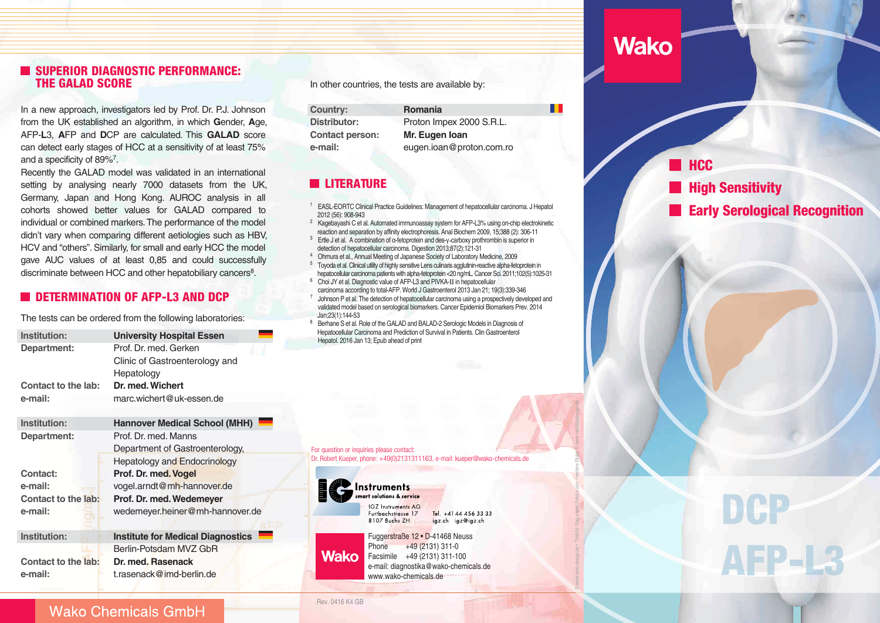## **SUPERIOR DIAGNOSTIC PERFORMANCE:** THE GALAD SCORE

In <sup>a</sup> new approach, investigators led by Prof. Dr. P.J. Johnson from the UK established an algorithm, in which**G**ender,**A**ge, AFP-**L**3,**A**FP and**D**CP are calculated. This **GALAD** score can detect early stages of HCC at <sup>a</sup> sensitivity of at least 75%and a specificity of 89%<sup>7</sup>.

Recently the GALAD model was validated in an international setting by analysing nearly 7000 datasets from the UK, Germany, Japan and Hong Kong. AUROC analysis in all cohorts showed better values for GALAD compared to individual or combined markers. The performance of the model didn't vary when comparing different aetiologies such as HBV, HCV and "others". Similarly, for small and early HCC the model gave AUC values of at least 0,85 and could successfullydiscriminate between HCC and other hepatobiliary cancers<sup>8</sup>.

### **DETERMINATION OF AFP-L3 AND DCP**

The tests can be ordered from the following laboratories:

| Institution:        | <b>University Hospital Essen</b>         |
|---------------------|------------------------------------------|
| Department:         | Prof. Dr. med. Gerken                    |
|                     | Clinic of Gastroenterology and           |
|                     | Hepatology                               |
| Contact to the lab: | Dr. med. Wichert                         |
| e-mail:             | marc.wichert@uk-essen.de                 |
|                     |                                          |
| Institution:        | <b>Hannover Medical School (MHH)</b>     |
| Department:         | Prof. Dr. med. Manns                     |
|                     | Department of Gastroenterology,          |
|                     | <b>Hepatology and Endocrinology</b>      |
| Contact:            | Prof. Dr. med. Vogel                     |
| e-mail:             | vogel.arndt@mh-hannover.de               |
| Contact to the lab: | Prof. Dr. med. Wedemeyer                 |
| e-mail:             | wedemeyer.heiner@mh-hannover.de          |
|                     |                                          |
| Institution:        | <b>Institute for Medical Diagnostics</b> |
|                     | Berlin-Potsdam MVZ GbR                   |
| Contact to the lab: | Dr. med. Rasenack                        |
| e-mail:             | t.rasenack@imd-berlin.de                 |
|                     |                                          |

In other countries, the tests are available by:

**Country:Distributor:Contact person:e-mail:**

 **Romania** Proton Impex <sup>2000</sup> S.R.L. **Mr. Eugen Ioan**eugen.ioan@proton.com.ro

# **LITERATURE**

<sup>1</sup> EASL-EORTC Clinical Practice Guidelines: Management of hepatocellular carcinoma. J Hepatol 2012 (56): 908-943

- <sup>2</sup> Kagebayashi C et al. Automated immunoassay system for AFP-L3% using on-chip electrokinetic reaction and separation by affinity electrophoresis. Anal Biochem 2009, 15;388 (2): 306-11
- $3$  Ertle J et al. A combination of  $\alpha$ -fetoprotein and des-γ-carboxy prothrombin is superior in detection of hepatocellular carcinoma. Digestion 2013;87(2):121-314
- <sup>4</sup> Ohmura et al., Annual Meeting of Japanese Society of Laboratory Medicine, 2009  $5$  Toyoda et al. Clinical utility of highly sensitive Lens culinaris agglutinin-reactive alpha-fetoprotein in
- hepatocellular carcinoma patients with alpha-fetoprotein <20 ng/mL. Cancer Sci. 2011;102(5):1025-31  $6$  Choi JY et al. Diagnostic value of AFP-L3 and PIVKA-II in hepatocellular carcinoma according to total-AFP. World J Gastroenterol 2013 Jan 21; 19(3):339-346 $7$  Johnson P et al. The detection of hepatocellular carcinoma using a prospectively developed and validated model based on serological biomarkers. Cancer Epidemiol Biomarkers Prev. 2014Jan;23(1):144-53

<sup>8</sup> Berhane S et al. Role of the GALAD and BALAD-2 Serologic Models in Diagnosis of Hepatocellular Carcinoma and Prediction of Survival in Patients. Clin Gastroenterol Hepatol. 2016 Jan 13; Epub ahead of print

For question or inquiries please contact: Dr. Robert Kueper, phone: +49(0)2131311163, e-mail: kueper@wako-chemicals.de



Rev. 0416 K4 GB

art solutions & service **IGZ** Instruments AG Tel. +41 44 456 33 33 Furtbachstrasse 17 8107 Buchs ZH igz.ch igz@igz.ch

Fuggerstraße <sup>12</sup> • D-41468 NeussPhone +49 (2131) 311-0 Facsimile +49 (2131) 311-100 e-mail: diagnostika@wako-chemicals.dewww.wako-chemicals.de

# **Wako**

Œ

© www.rano-design.de • Titelbild: ©ag visuell,Fotolia.com • weitere Bilder: © www.veit-fotodesign.de

**HCC High Sensitivity** Early Serological Recognition

**AFP-I** 

**Wako Chemicals GmbH**